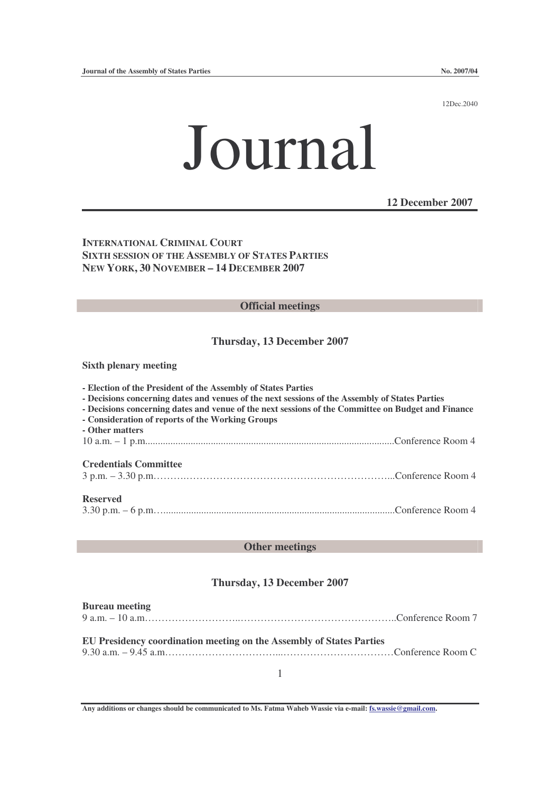12Dec.2040

# Journal

**12 December 2007**

**INTERNATIONAL CRIMINAL COURT SIXTH SESSION OF THE ASSEMBLY OF STATES PARTIES NEW YORK, 30 NOVEMBER – 14 DECEMBER 2007**

### **Official meetings**

## **Thursday, 13 December 2007**

**Sixth plenary meeting**

- **- Election of the President of the Assembly of States Parties**
- **- Decisions concerning dates and venues of the next sessions of the Assembly of States Parties**
- **- Decisions concerning dates and venue of the next sessions of the Committee on Budget and Finance**
- **- Consideration of reports of the Working Groups**

**- Other matters** 10 a.m. – 1 p.m...................................................................................................Conference Room 4

#### **Credentials Committee**

3 p.m. – 3.30 p.m……….……………………………………………………...Conference Room 4

#### **Reserved**

3.30 p.m. – 6 p.m…............................................................................................Conference Room 4

## **Other meetings**

## **Thursday, 13 December 2007**

#### **Bureau meeting** 9 a.m. – 10 a.m………………………..………………………………………..Conference Room 7

## **EU Presidency coordination meeting on the Assembly of States Parties**

9.30 a.m. – 9.45 a.m……………………………...……………………………Conference Room C

1

**Any additions or changes should be communicated to Ms. Fatma Waheb Wassie via e-mail: fs.wassie@gmail.com.**